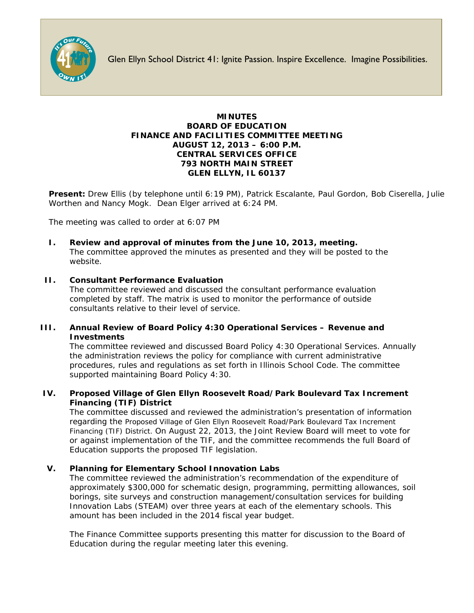

Glen Ellyn School District 41: Ignite Passion. Inspire Excellence. Imagine Possibilities.

## **MINUTES BOARD OF EDUCATION FINANCE AND FACILITIES COMMITTEE MEETING AUGUST 12, 2013 – 6:00 P.M. CENTRAL SERVICES OFFICE 793 NORTH MAIN STREET GLEN ELLYN, IL 60137**

**Present:** Drew Ellis (by telephone until 6:19 PM), Patrick Escalante, Paul Gordon, Bob Ciserella, Julie Worthen and Nancy Mogk. Dean Elger arrived at 6:24 PM.

The meeting was called to order at 6:07 PM

**I. Review and approval of minutes from the June 10, 2013, meeting.** The committee approved the minutes as presented and they will be posted to the website.

# **II. Consultant Performance Evaluation**

The committee reviewed and discussed the consultant performance evaluation completed by staff. The matrix is used to monitor the performance of outside consultants relative to their level of service.

# **III. Annual Review of Board Policy 4:30 Operational Services – Revenue and Investments**

The committee reviewed and discussed Board Policy 4:30 Operational Services. Annually the administration reviews the policy for compliance with current administrative procedures, rules and regulations as set forth in Illinois School Code. The committee supported maintaining Board Policy 4:30.

## **IV. Proposed Village of Glen Ellyn Roosevelt Road/Park Boulevard Tax Increment Financing (TIF) District**

The committee discussed and reviewed the administration's presentation of information regarding the Proposed Village of Glen Ellyn Roosevelt Road/Park Boulevard Tax Increment Financing (TIF) District. On August 22, 2013, the Joint Review Board will meet to vote for or against implementation of the TIF, and the committee recommends the full Board of Education supports the proposed TIF legislation.

# **V. Planning for Elementary School Innovation Labs**

The committee reviewed the administration's recommendation of the expenditure of approximately \$300,000 for schematic design, programming, permitting allowances, soil borings, site surveys and construction management/consultation services for building Innovation Labs (STEAM) over three years at each of the elementary schools. This amount has been included in the 2014 fiscal year budget.

The Finance Committee supports presenting this matter for discussion to the Board of Education during the regular meeting later this evening.